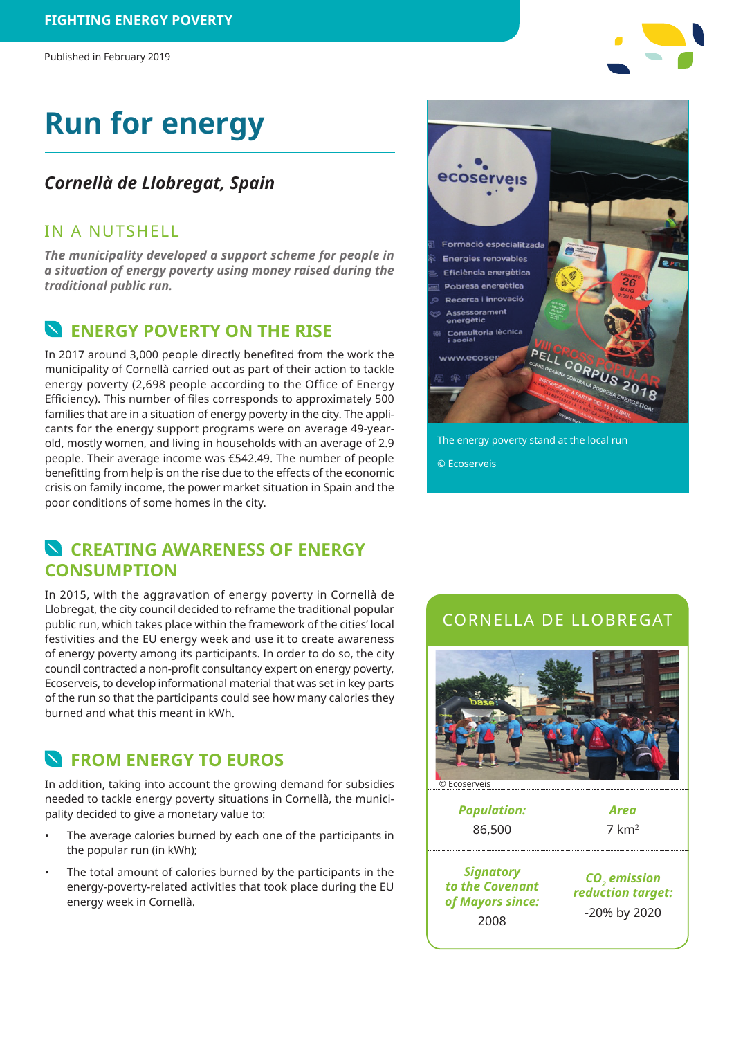# **Run for energy**

#### *Cornellà de Llobregat, Spain*

#### IN A NUTSHELL

*The municipality developed a support scheme for people in a situation of energy poverty using money raised during the traditional public run.*

#### **ENERGY POVERTY ON THE RISE**

In 2017 around 3,000 people directly benefited from the work the municipality of Cornellà carried out as part of their action to tackle energy poverty (2,698 people according to the Office of Energy Efficiency). This number of files corresponds to approximately 500 families that are in a situation of energy poverty in the city. The applicants for the energy support programs were on average 49-yearold, mostly women, and living in households with an average of 2.9 people. Their average income was €542.49. The number of people benefitting from help is on the rise due to the effects of the economic crisis on family income, the power market situation in Spain and the poor conditions of some homes in the city.

#### **CREATING AWARENESS OF ENERGY CONSUMPTION**

In 2015, with the aggravation of energy poverty in Cornellà de Llobregat, the city council decided to reframe the traditional popular public run, which takes place within the framework of the cities' local festivities and the EU energy week and use it to create awareness of energy poverty among its participants. In order to do so, the city council contracted a non-profit consultancy expert on energy poverty, Ecoserveis, to develop informational material that was set in key parts of the run so that the participants could see how many calories they burned and what this meant in kWh.

#### **FROM ENERGY TO EUROS**

In addition, taking into account the growing demand for subsidies needed to tackle energy poverty situations in Cornellà, the municipality decided to give a monetary value to:

- The average calories burned by each one of the participants in the popular run (in kWh);
- The total amount of calories burned by the participants in the energy-poverty-related activities that took place during the EU energy week in Cornellà.



The energy poverty stand at the local run © Ecoserveis

#### CORNELLA DE LLOBREGAT